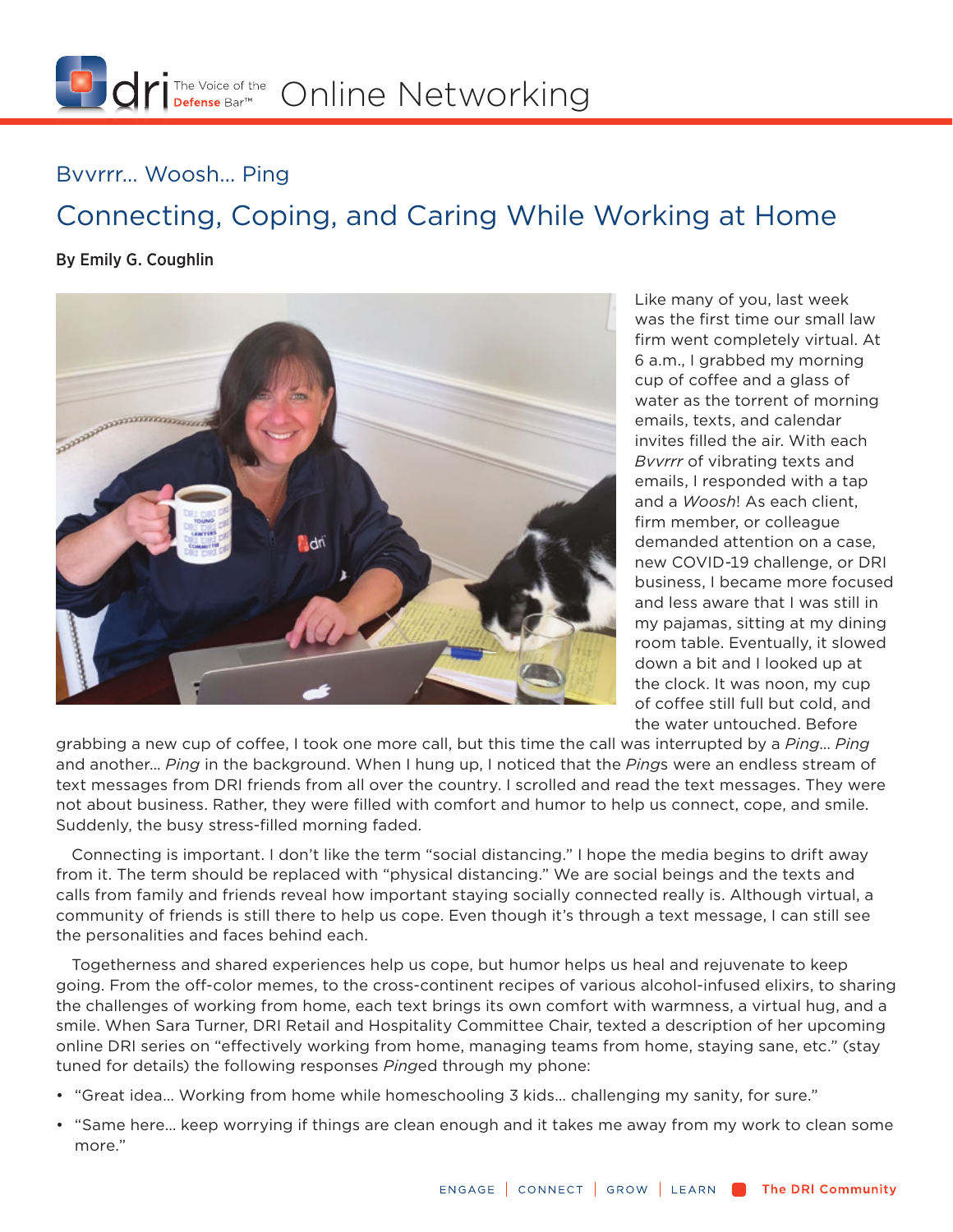

## Bvvrrr… Woosh… Ping

## Connecting, Coping, and Caring While Working at Home

## By Emily G. Coughlin



Like many of you, last week was the first time our small law firm went completely virtual. At 6 a.m., I grabbed my morning cup of coffee and a glass of water as the torrent of morning emails, texts, and calendar invites filled the air. With each *Bvvrrr* of vibrating texts and emails, I responded with a tap and a *Woosh*! As each client, firm member, or colleague demanded attention on a case, new COVID-19 challenge, or DRI business, I became more focused and less aware that I was still in my pajamas, sitting at my dining room table. Eventually, it slowed down a bit and I looked up at the clock. It was noon, my cup of coffee still full but cold, and the water untouched. Before

grabbing a new cup of coffee, I took one more call, but this time the call was interrupted by a *Ping*… *Ping* and another… *Ping* in the background. When I hung up, I noticed that the *Ping*s were an endless stream of text messages from DRI friends from all over the country. I scrolled and read the text messages. They were not about business. Rather, they were filled with comfort and humor to help us connect, cope, and smile. Suddenly, the busy stress-filled morning faded.

Connecting is important. I don't like the term "social distancing." I hope the media begins to drift away from it. The term should be replaced with "physical distancing." We are social beings and the texts and calls from family and friends reveal how important staying socially connected really is. Although virtual, a community of friends is still there to help us cope. Even though it's through a text message, I can still see the personalities and faces behind each.

Togetherness and shared experiences help us cope, but humor helps us heal and rejuvenate to keep going. From the off-color memes, to the cross-continent recipes of various alcohol-infused elixirs, to sharing the challenges of working from home, each text brings its own comfort with warmness, a virtual hug, and a smile. When Sara Turner, DRI Retail and Hospitality Committee Chair, texted a description of her upcoming online DRI series on "effectively working from home, managing teams from home, staying sane, etc." (stay tuned for details) the following responses *Ping*ed through my phone:

- "Great idea… Working from home while homeschooling 3 kids… challenging my sanity, for sure."
- "Same here… keep worrying if things are clean enough and it takes me away from my work to clean some more."